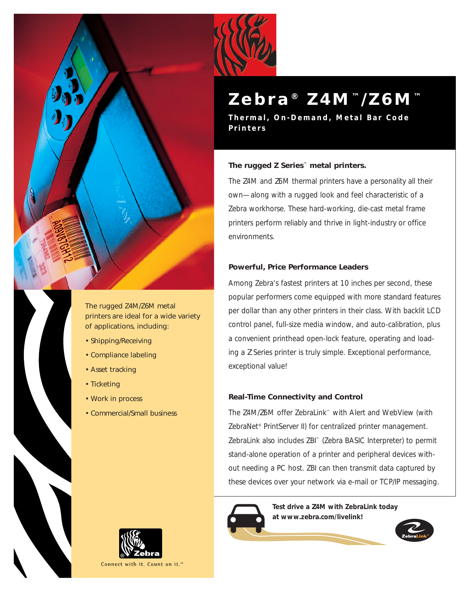

The rugged *Z*4M/*Z*6M metal printers are ideal for a wide variety of applications, including:

- Shipping/Receiving
- Compliance labeling
- Asset tracking
- Ticketing
- Work in process
- Commercial/Small business



# **Zebra ®** *Z* **4 M ™ /** *Z* **6 M ™**

**Thermal, On-Demand, Metal Bar Code Printers**

# **The rugged** *Z* **Series™ metal printers.**

The *Z*4M and *Z*6M thermal printers have a personality all their own—along with a rugged look and feel characteristic of a Zebra workhorse. These hard-working, die-cast metal frame printers perform reliably and thrive in light-industry or office environments.

# **Powerful, Price Performance Leaders**

Among Zebra's fastest printers at 10 inches per second, these popular performers come equipped with more standard features per dollar than any other printers in their class. With backlit LCD control panel, full-size media window, and auto-calibration, plus a convenient printhead open-lock feature, operating and loading a *Z* Series printer is truly simple. Exceptional performance, exceptional value!

# **Real-Time Connectivity and Control**

The *Z*4M/*Z*6M offer ZebraLink™ with Alert and WebView (with ZebraNet<sup>®</sup> PrintServer II) for centralized printer management. ZebraLink also includes ZBI™ (Zebra BASIC Interpreter) to permit stand-alone operation of a printer and peripheral devices without needing a PC host. ZBI can then transmit data captured by these devices over your network via e-mail or TCP/IP messaging.



**Test drive a** *Z***4M with ZebraLink today at www.zebra.com/livelink!** 





Connect with it. Count on it.<sup>™</sup>